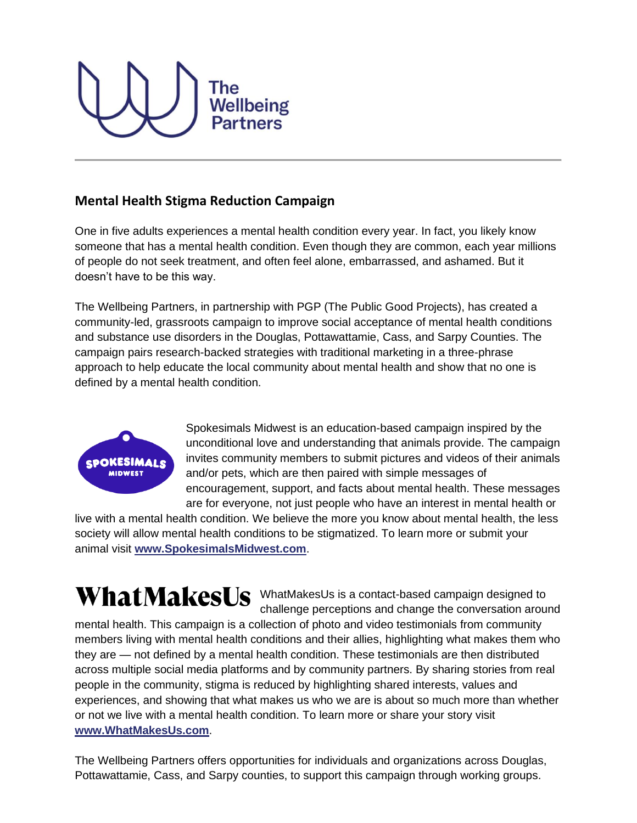

## **Mental Health Stigma Reduction Campaign**

One in five adults experiences a mental health condition every year. In fact, you likely know someone that has a mental health condition. Even though they are common, each year millions of people do not seek treatment, and often feel alone, embarrassed, and ashamed. But it doesn't have to be this way.

The Wellbeing Partners, in partnership with PGP (The Public Good Projects), has created a community-led, grassroots campaign to improve social acceptance of mental health conditions and substance use disorders in the Douglas, Pottawattamie, Cass, and Sarpy Counties. The campaign pairs research-backed strategies with traditional marketing in a three-phrase approach to help educate the local community about mental health and show that no one is defined by a mental health condition.



Spokesimals Midwest is an education-based campaign inspired by the unconditional love and understanding that animals provide. The campaign invites community members to submit pictures and videos of their animals and/or pets, which are then paired with simple messages of encouragement, support, and facts about mental health. These messages are for everyone, not just people who have an interest in mental health or

live with a mental health condition. We believe the more you know about mental health, the less society will allow mental health conditions to be stigmatized. To learn more or submit your animal visit **[www.SpokesimalsMidwest.com](http://www.spokesimalsmidwest.com/)**.

## WhatMakesUs WhatMakesUs is a contact-based campaign designed to

challenge perceptions and change the conversation around mental health. This campaign is a collection of photo and video testimonials from community members living with mental health conditions and their allies, highlighting what makes them who they are — not defined by a mental health condition. These testimonials are then distributed across multiple social media platforms and by community partners. By sharing stories from real people in the community, stigma is reduced by highlighting shared interests, values and experiences, and showing that what makes us who we are is about so much more than whether or not we live with a mental health condition. To learn more or share your story visit **[www.WhatMakesUs.com](http://www.whatmakesus.com/)**.

The Wellbeing Partners offers opportunities for individuals and organizations across Douglas, Pottawattamie, Cass, and Sarpy counties, to support this campaign through working groups.